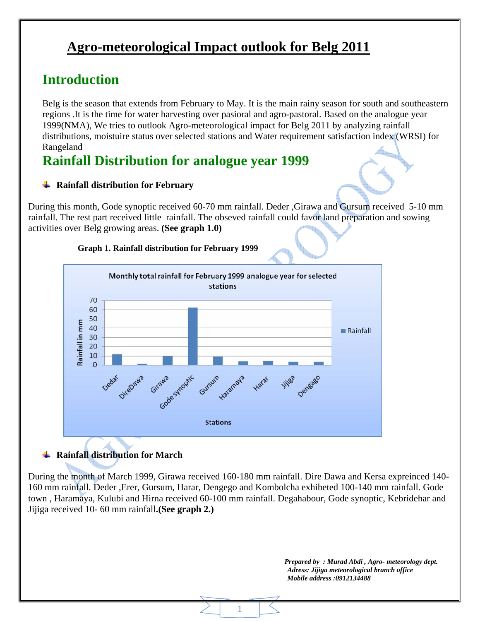# **Agro-meteorological Impact outlook for Belg 2011**

# **Introduction**

Belg is the season that extends from February to May. It is the main rainy season for south and southeastern regions .It is the time for water harvesting over pasioral and agro-pastoral. Based on the analogue year 1999(NMA), We tries to outlook Agro-meteorological impact for Belg 2011 by analyzing rainfall distributions, moistuire status over selected stations and Water requirement satisfaction index (WRSI) for Rangeland

## **Rainfall Distribution for analogue year 1999**

#### **Rainfall distribution for February**

During this month, Gode synoptic received 60-70 mm rainfall. Deder ,Girawa and Gursum received 5-10 mm rainfall. The rest part received little rainfall. The obseved rainfall could favor land preparation and sowing activities over Belg growing areas. **(See graph 1.0)**

#### **Graph 1. Rainfall distribution for February 1999**



## **Rainfall distribution for March**

During the month of March 1999, Girawa received 160-180 mm rainfall. Dire Dawa and Kersa expreinced 140- 160 mm rainfall. Deder ,Erer, Gursum, Harar, Dengego and Kombolcha exhibeted 100-140 mm rainfall. Gode town , Haramaya, Kulubi and Hirna received 60-100 mm rainfall. Degahabour, Gode synoptic, Kebridehar and Jijiga received 10- 60 mm rainfall**.(See graph 2.)**

1

 *Prepared by : Murad Abdi , Agro- meteorology dept. Adress: Jijiga meteorological branch office Mobile address :0912134488*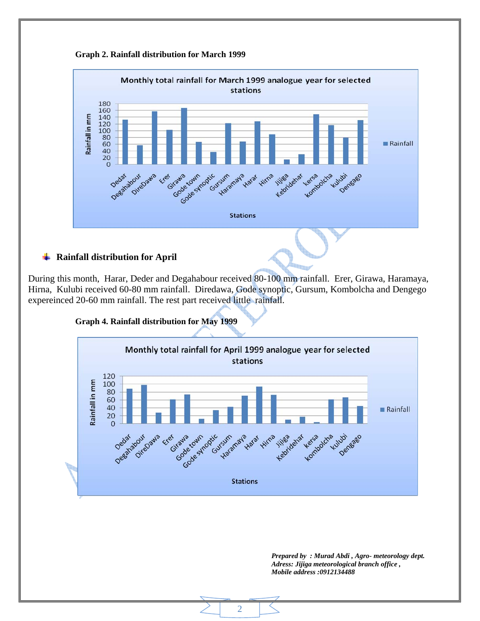



During this month, Harar, Deder and Degahabour received 80-100 mm rainfall. Erer, Girawa, Haramaya, Hirna, Kulubi received 60-80 mm rainfall. Diredawa, Gode synoptic, Gursum, Kombolcha and Dengego expereinced 20-60 mm rainfall. The rest part received little rainfall.



2

*Prepared by : Murad Abdi , Agro- meteorology dept. Adress: Jijiga meteorological branch office , Mobile address :0912134488*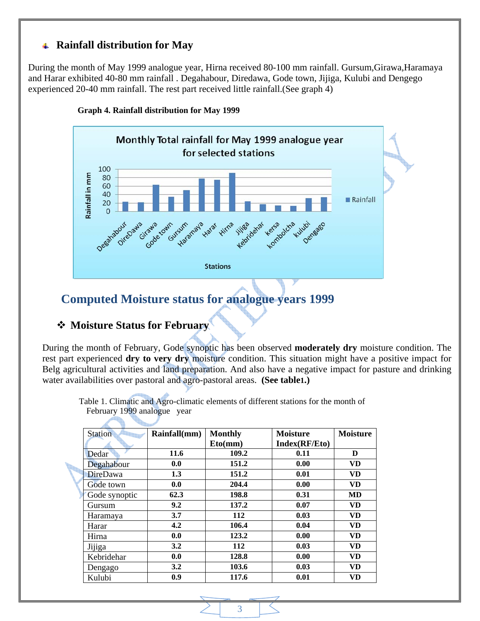#### **Rainfall distribution for May**

During the month of May 1999 analogue year, Hirna received 80-100 mm rainfall. Gursum,Girawa,Haramaya and Harar exhibited 40-80 mm rainfall . Degahabour, Diredawa, Gode town, Jijiga, Kulubi and Dengego experienced 20-40 mm rainfall. The rest part received little rainfall.(See graph 4)



**Graph 4. Rainfall distribution for May 1999**

## **Computed Moisture status for analogue years 1999**

#### **Moisture Status for February**

During the month of February, Gode synoptic has been observed **moderately dry** moisture condition. The rest part experienced **dry to very dry** moisture condition. This situation might have a positive impact for Belg agricultural activities and land preparation. And also have a negative impact for pasture and drinking water availabilities over pastoral and agro-pastoral areas. **(See table1.)** 

 Table 1. Climatic and Agro-climatic elements of different stations for the month of February 1999 analogue year

| Station         | Rainfall(mm) | <b>Monthly</b> | <b>Moisture</b> | <b>Moisture</b> |
|-----------------|--------------|----------------|-----------------|-----------------|
|                 |              | Eto(mm)        | Index(RF/Eto)   |                 |
| Dedar           | 11.6         | 109.2          | 0.11            | D               |
| Degahabour      | 0.0          | 151.2          | 0.00            | <b>VD</b>       |
| <b>DireDawa</b> | 1.3          | 151.2          | 0.01            | VD.             |
| Gode town       | 0.0          | 204.4          | 0.00            | <b>VD</b>       |
| Gode synoptic   | 62.3         | 198.8          | 0.31            | MD              |
| Gursum          | 9.2          | 137.2          | 0.07            | <b>VD</b>       |
| Haramaya        | 3.7          | 112            | 0.03            | <b>VD</b>       |
| Harar           | 4.2          | 106.4          | 0.04            | VD.             |
| Hirna           | 0.0          | 123.2          | 0.00            | <b>VD</b>       |
| Jijiga          | 3.2          | 112            | 0.03            | VD.             |
| Kebridehar      | 0.0          | 128.8          | 0.00            | VD.             |
| Dengago         | 3.2          | 103.6          | 0.03            | <b>VD</b>       |
| Kulubi          | 0.9          | 117.6          | 0.01            | VD              |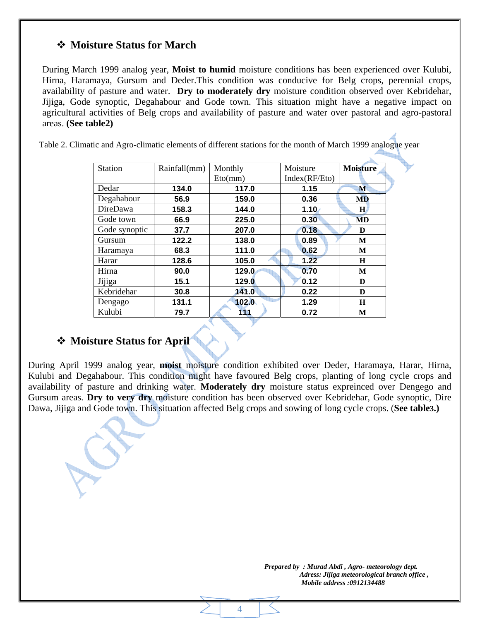### **Moisture Status for March**

During March 1999 analog year, **Moist to humid** moisture conditions has been experienced over Kulubi, Hirna, Haramaya, Gursum and Deder.This condition was conducive for Belg crops, perennial crops, availability of pasture and water. **Dry to moderately dry** moisture condition observed over Kebridehar, Jijiga, Gode synoptic, Degahabour and Gode town. This situation might have a negative impact on agricultural activities of Belg crops and availability of pasture and water over pastoral and agro-pastoral areas. **(See table2)** 

Table 2. Climatic and Agro-climatic elements of different stations for the month of March 1999 analogue year

| <b>Station</b> | Rainfall(mm) | Monthly | Moisture                   | <b>Moisture</b> |
|----------------|--------------|---------|----------------------------|-----------------|
|                |              | Eto(mm) | Index(RF/Et <sub>O</sub> ) |                 |
| Dedar          | 134.0        | 117.0   | 1.15                       | M               |
| Degahabour     | 56.9         | 159.0   | 0.36                       | <b>MD</b>       |
| DireDawa       | 158.3        | 144.0   | 1.10                       | $\mathbf{H}$    |
| Gode town      | 66.9         | 225.0   | 0.30                       | MD              |
| Gode synoptic  | 37.7         | 207.0   | 0.18                       | D               |
| Gursum         | 122.2        | 138.0   | 0.89                       | M               |
| Haramaya       | 68.3         | 111.0   | 0.62                       | M               |
| Harar          | 128.6        | 105.0   | 1.22                       | H               |
| Hirna          | 90.0         | 129.0   | 0.70                       | M               |
| Jijiga         | 15.1         | 129.0   | 0.12                       | D               |
| Kebridehar     | 30.8         | 141.0   | 0.22                       | D               |
| Dengago        | 131.1        | 102.0   | 1.29                       | H               |
| Kulubi         | 79.7         | 111     | 0.72                       | M               |

### **Moisture Status for April**

During April 1999 analog year, **moist** moisture condition exhibited over Deder, Haramaya, Harar, Hirna, Kulubi and Degahabour. This condition might have favoured Belg crops, planting of long cycle crops and availability of pasture and drinking water. **Moderately dry** moisture status expreinced over Dengego and Gursum areas. **Dry to very dry** moisture condition has been observed over Kebridehar, Gode synoptic, Dire Dawa, Jijiga and Gode town. This situation affected Belg crops and sowing of long cycle crops. (**See table3.)**

4

 *Prepared by : Murad Abdi , Agro- meteorology dept. Adress: Jijiga meteorological branch office , Mobile address :0912134488*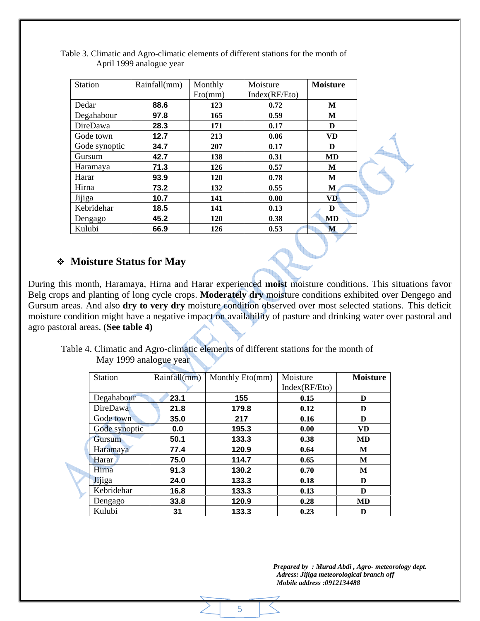| <b>Station</b> | Rainfall(mm) | Monthly | Moisture      | <b>Moisture</b> |
|----------------|--------------|---------|---------------|-----------------|
|                |              | Eto(mm) | Index(RF/Eto) |                 |
| Dedar          | 88.6         | 123     | 0.72          | M               |
| Degahabour     | 97.8         | 165     | 0.59          | M               |
| DireDawa       | 28.3         | 171     | 0.17          | D               |
| Gode town      | 12.7         | 213     | 0.06          | <b>VD</b>       |
| Gode synoptic  | 34.7         | 207     | 0.17          | D               |
| Gursum         | 42.7         | 138     | 0.31          | <b>MD</b>       |
| Haramaya       | 71.3         | 126     | 0.57          | M               |
| Harar          | 93.9         | 120     | 0.78          | M               |
| Hirna          | 73.2         | 132     | 0.55          | M               |
| Jijiga         | 10.7         | 141     | 0.08          | <b>VD</b>       |
| Kebridehar     | 18.5         | 141     | 0.13          | D               |
| Dengago        | 45.2         | 120     | 0.38          | MD              |
| Kulubi         | 66.9         | 126     | 0.53          | M               |

 Table 3. Climatic and Agro-climatic elements of different stations for the month of April 1999 analogue year

### **Moisture Status for May**

During this month, Haramaya, Hirna and Harar experienced **moist** moisture conditions. This situations favor Belg crops and planting of long cycle crops. **Moderately dry** moisture conditions exhibited over Dengego and Gursum areas. And also **dry to very dry** moisture condition observed over most selected stations. This deficit moisture condition might have a negative impact on availability of pasture and drinking water over pastoral and agro pastoral areas. (**See table 4)**

 Table 4. Climatic and Agro-climatic elements of different stations for the month of May 1999 analogue year

| <b>Station</b>  | Rainfall(mm) | Monthly Eto(mm) | Moisture<br>Index(RF/Eto) | <b>Moisture</b> |
|-----------------|--------------|-----------------|---------------------------|-----------------|
| Degahabour      | 23.1         | 155             | 0.15                      | D               |
| <b>DireDawa</b> | 21.8         | 179.8           | 0.12                      | D               |
| Gode town       | 35.0         | 217             | 0.16                      | D               |
| Gode synoptic   | 0.0          | 195.3           | 0.00                      | <b>VD</b>       |
| Gursum          | 50.1         | 133.3           | 0.38                      | <b>MD</b>       |
| Haramaya        | 77.4         | 120.9           | 0.64                      | M               |
| Harar           | 75.0         | 114.7           | 0.65                      | M               |
| Hirna           | 91.3         | 130.2           | 0.70                      | M               |
| Jijiga          | 24.0         | 133.3           | 0.18                      | D               |
| Kebridehar      | 16.8         | 133.3           | 0.13                      | D               |
| Dengago         | 33.8         | 120.9           | 0.28                      | <b>MD</b>       |
| Kulubi          | 31           | 133.3           | 0.23                      | D               |

5

 *Prepared by : Murad Abdi , Agro- meteorology dept. Adress: Jijiga meteorological branch off Mobile address :0912134488*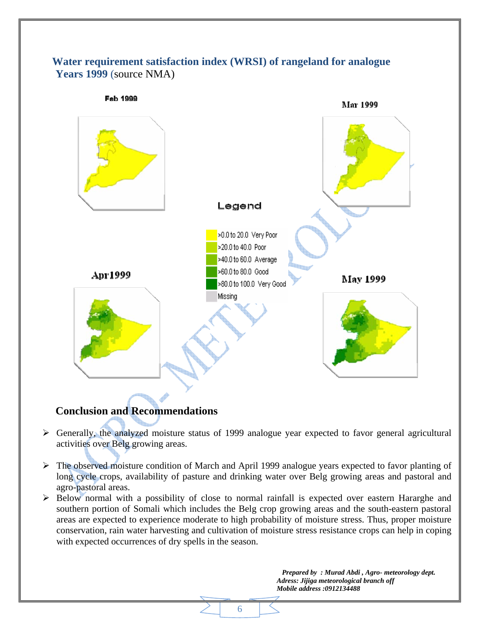## **Water requirement satisfaction index (WRSI) of rangeland for analogue Years 1999** (source NMA)



## **Conclusion and Recommendations**

- ¾ Generally, the analyzed moisture status of 1999 analogue year expected to favor general agricultural activities over Belg growing areas.
- ¾ The observed moisture condition of March and April 1999 analogue years expected to favor planting of long cycle crops, availability of pasture and drinking water over Belg growing areas and pastoral and agro-pastoral areas.
- $\triangleright$  Below normal with a possibility of close to normal rainfall is expected over eastern Hararghe and southern portion of Somali which includes the Belg crop growing areas and the south-eastern pastoral areas are expected to experience moderate to high probability of moisture stress. Thus, proper moisture conservation, rain water harvesting and cultivation of moisture stress resistance crops can help in coping with expected occurrences of dry spells in the season.

6

 *Prepared by : Murad Abdi , Agro- meteorology dept. Adress: Jijiga meteorological branch off Mobile address :0912134488*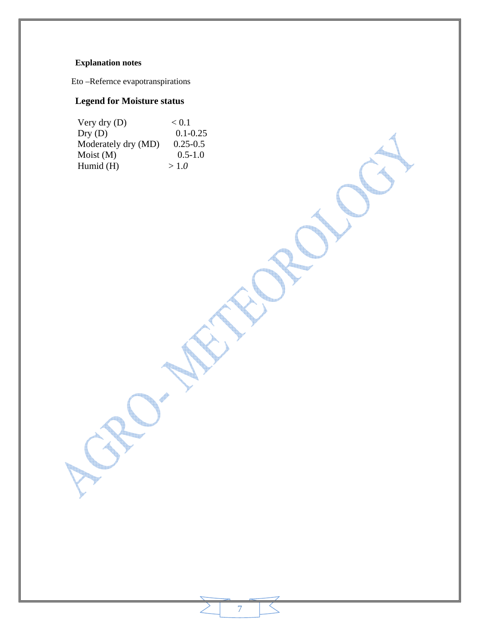## **Explanation notes**

Eto –Refernce evapotranspirations

## **Legend for Moisture status**

| Very dry $(D)$      | < 0.1        |
|---------------------|--------------|
| Dry(D)              | $0.1 - 0.25$ |
| Moderately dry (MD) | $0.25 - 0.5$ |
| $M$ oist $(M)$      | $0.5 - 1.0$  |
| Humid $(H)$         | >1.0         |

7